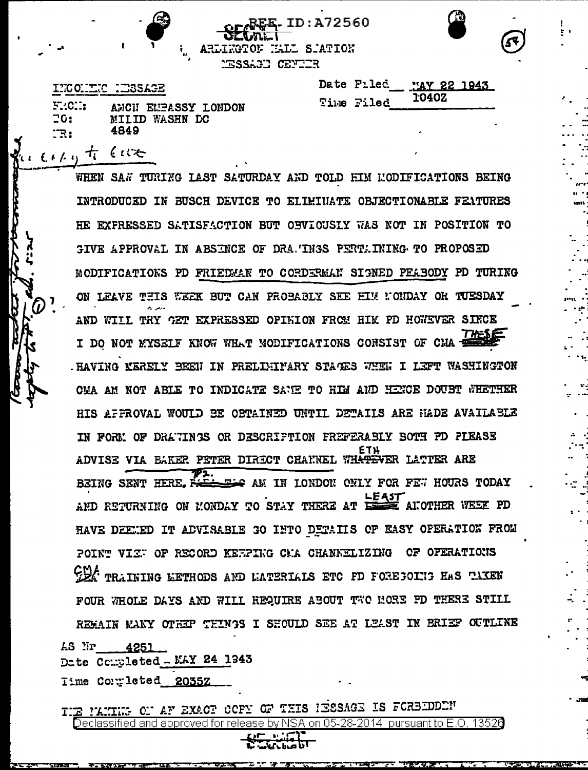**ID:A72560** ARLINGTON NALL SIATION **NESSAGE CENTIR** 



| ת המסטרי ידועת המחו |                     |  |
|---------------------|---------------------|--|
| F:CC:               | ANCH EMBASSY LONDON |  |

4849

20:

<u>'R:</u>

1901.AS

MILID WASHN DC

| Date Filed MAY 22 1943 |              |  |
|------------------------|--------------|--|
| Time Filed             | <b>1040Z</b> |  |

Copy to Give WHEN SAN TURING LAST SATURDAY AND TOLD FIM MODIFICATIONS BEING INTRODUCED IN BUSCH DEVICE TO ELIMINATE OBJECTIONABLE FEATURES HE EXPRESSED SATISFACTION BUT OBVIOUSLY WAS NOT IN POSITION TO GIVE APPROVAL IN ABSINCE OF DRA. INGS PERTAINING TO PROPOSED MODIFICATIONS PD FRIEDMAN TO CORDERMAN SIGNED PEABODY PD TURING ON LEAVE THIS WEEK BUT CAN PROBABLY SEE HIM NONDAY OR TUESDAY AND WILL TRY GET EXPRESSED OPINION FROM HIM PD HOWEVER SINCE I DO NOT MYSELF KNOW WHAT MODIFICATIONS CONSIST OF CHA . HAVING MERELY BEEN IN PRELIMITARY STAGES WHEN I LEFT WASHINGTON CMA AM NOT ABLE TO INDICATE SAME TO HIM AND HENCE DOUBT WHETHER HIS AFFROVAL WOULD BE OBTAINED UNTIL DETAILS ARE HADE AVAILABLE IN FORM OF DRATINGS OR DESCRIPTION FREFERABLY BOTH PD PIEASE ETH ENGINEE VIA BAKER PETER DIRECT CHANNEL WH<del>ATEVER</del> LATTER ARE BEING SENT HERE. RELEE AM IN LONDON ONLY FOR FEW HOURS TODAY AND RETURNING ON MONDAY TO STAY THERE AT LEAST ANOTHER WEEK PD HAVE DEETED IT ADVISABLE GO INTO DETAILS OF EASY OFERATION FROM POINT VIZE OF RECORD KEEPING CMA CHANNELIZING OF OPERATIONS CEA TRAINING EETHODS AND LATERIALS ETC FD FOREGOING HAS TAKEN FOUR WHOLE DAYS AND WILL REQUIRE ABOUT TWO MORE FD THERE STILL REMAIN MANY OTHEP THINGS I SHOULD SEE AT LEAST IN BRIEF OUTLINE

 $4251$ 

Date Completed - MAY 24 1943

Time Commeted 2035Z

OF AF EXACT COFF OF THIS HESSAGE IS FOREIDDEN and approved for release by NSA on 05-28-2014 pursuant to E.O. 13526

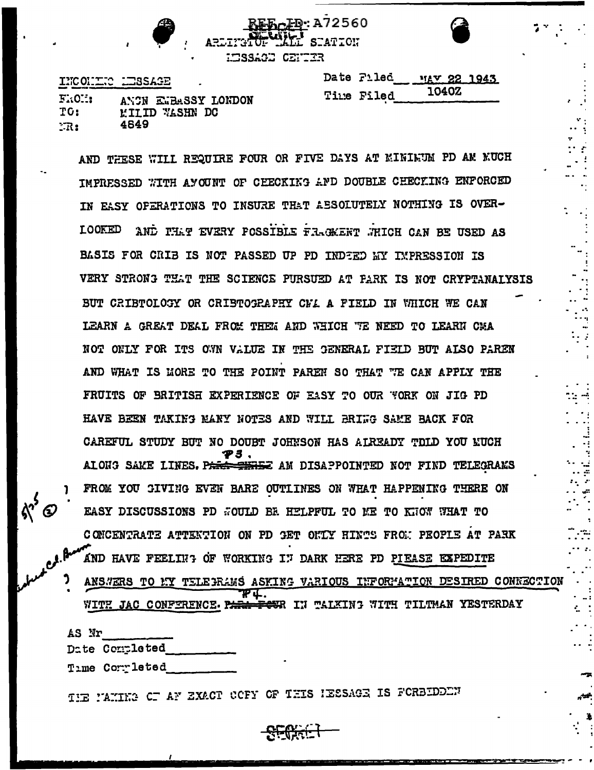**D:A72560** STATTOU **EISSAGE CENTIR** 

INCONDECTED LESSAGE

|            | Date Filed 114V 22 1943 |  |
|------------|-------------------------|--|
| Time Filed | 1040Z                   |  |

| $F_{\cdot}$ (C.i. | ANCN EMBASSY LONDON   |
|-------------------|-----------------------|
| TG:               | <b>MILID WASHN DC</b> |
| $\mathbb{R}$ :    | 4649                  |

AND THESE WILL REQUIRE FOUR OR FIVE DAYS AT MINIMUM PD AM MUCH IMPRESSED WITH AYOUNT OF CEECKING AND DOUBLE CHECKING ENFORCED IN EASY OPERATIONS TO INSURE THAT AESOLUTELY NOTHING IS OVER-**LOOKED** AND PHAT EVERY POSSIBLE FRACKENT WHICH CAN BE USED AS BASIS FOR CRIB IS NOT PASSED UP PD INDEED WY IMPRESSION IS VERY STRONG THAT THE SCIENCE PURSUED AT PARK IS NOT CRYPTANALYSIS BUT CRIBTOLOGY OR CRIBTOGRAPHY CML A FIELD IN WHICH WE CAN LEARN A GREAT DEAL FROM THEM AND WHICH TE NEED TO LEARN CMA NOT ONLY FOR ITS OWN VALUE IN THE GENERAL FIEID BUT ALSO PAREN AND WHAT IS MORE TO THE POINT PAREN SO THAT "TE CAN APPLY THE FRUITS OF BRITISH EXPERIENCE OF EASY TO OUR FORK ON JIG PD HAVE BEEN TAKING MANY NOTES AND WILL BRIGG SAME BACK FOR CAREFUL STUDY BUT NO DOUBT JOHNSON HAS AIREADY TOLD YOU KUCH ALONG SAKE LINES. P<del>ARK THRE</del>Z AM DISAPPOINTED NOT FIND TELEGRAKS FROM YOU GIVING EVEN BARE OUTLINES ON WHAT HAPPENING THERE ON EASY DISCUSSIONS PD WOULD BE HELPFUL TO ME TO KNOW WHAT TO CONCENTRATE ATTENTION ON PD GET ONLY HINTS FROM PEOPLE AT PARK AND HAVE FEELING OF WORKING IN DARK HERE PD PIEASE EXPEDITE ANSWERS TO MY TELEGRAMS ASKING VARIOUS INFORMATION DESIRED CONNECTION

WITH JAC CONFERENCE. P. <del>CU</del>R IN TALKING WITH TILTMAN YESTERDAY

| AS Nr |                |
|-------|----------------|
|       | Date Completed |
|       | Time Completed |

IE MAING OF AF EXACT OCFY OF THIS IESSAGE IS FORBIDDEN